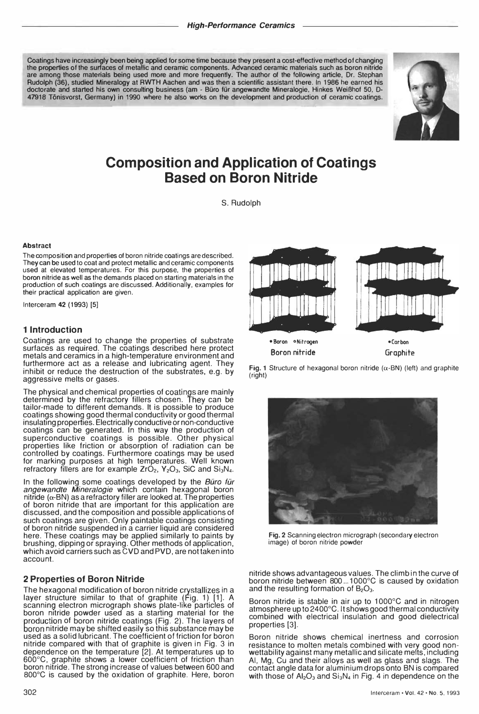Coatings have increasingly been being applied for some time because they present a cost-effective method of changing the properties of the surfaces of metallic and ceramic components. Advanced ceramic materials such as boron nitride are among those materials being used more and more frequently. The author of the following article, Dr. Stephan Rudolph (36), studied Mineralogy at RWTH Aachen and was then a scientific assistant there. In 1986 he earned his doctorate and started his own consulting business (am - Büro für angewandte Mineralogie, Hinkes Weißhof 50, D-47918 Tonisvorst, Germany) in 1990 where he also works on the development and production of ceramic coatings.



# Composition and Application of Coatings Based on Boron Nitride

S. Rudolph

#### Abstract

The composition and properties of boron nitride coatings are described. They can be used to coat and protect metallic and ceramic components used at elevated temperatures. For this purpose, the properties of boron nitride as well as the demands placed on starting materials in the production of such coatings are discussed. Additionally, examples for their practical application are given.

Interceram 42 (1993) [5]

## 1 Introduction

Coatings are used to change the properties of substrate surfaces as required. The coatings described here protect metals and ceramics in a high-temperature environment and furthermore act as a release and lubricating agent. They inhibit or reduce the destruction of the substrates, e.g. by aggressive melts or gases.

The physical and chemical properties of coatings are mainly determined by the refractory fillers chosen. They can be tailor-made to different demands. It is possible to produce coatings showing good thermal conductivity or good thermal insulating properties. Electrically conductive or non-conductive coatings can be generated. In this way the production of superconductive coatings is possible. Other physical properties like friction or absorption of radiation can be controlled by coatings. Furthermore coatings may be used for marking purposes at high temperatures. Well known refractory fillers are for example  $ZrO<sub>2</sub>$ , Y<sub>2</sub>O<sub>3</sub>, SiC and Si<sub>3</sub>N<sub>4</sub>.

In the following some coatings developed by the  $B\ddot{u}r$ angewandte Mineralogie which contain hexagonal boron nitride  $(\alpha$ -BN) as a refractory filler are looked at. The properties of boron nitride that are important for this application are discussed, and the composition and possible applications of such coatings are given. Only paintable coatings consisting of boron nitride suspended in a carrier liquid are considered here. These coatings may be applied similarly to paints by brushing, dipping or spraying. Other methods of application, which avoid carriers such as CVD and PVD, are not taken into account.

## 2 Properties of Boron Nitride

The hexagonal modification of boron nitride crystallizes in a layer structure similar to that of graphite (Fig. 1) [1]. A scannin9 electron micrograph shows plate-like particles of boron nitride powder used as a starting material for the production of boron nitride coatings (Fig. 2). The layers of boron nitride may be shifted easily so this substance may be used as a solid lubricant. The coefficient of friction for boron nitride compared with that of graphite is given in Fig. 3 in dependence on the temperature [2]. At temperatures up to  $600^{\circ}$ C, graphite shows a lower coefficient of friction than boron nitride. The strong increase of values between 600 and 800°C is caused by the oxidation of graphite. Here, boron



Fig. 1 Structure of hexagonal boron nitride ( $\alpha$ -BN) (left) and graphite (right)



Fig.2 Scanning electron micrograph (secondary electron image) of boron nitride powder

nitride shows advantageous values. The climb in the curve of boron nitride between 800 ... 1000°C is caused by oxidation and the resulting formation of  $B_2O_3$ .

Boron nitride is stable in air up to 1000°C and in nitrogen atmosphere up to 2400°C. It shows good thermal conductivity combined with electrical insulation and good dielectrical properties [3].

Boron nitride shows chemical inertness and corrosion resistance to molten metals combined with very good nonwettability against many metallic and silicate melts, including AI, Mg, Cu and their alloys as well as glass and slags. The contact angle data for aluminium drops onto BN is compared with those of  $Al_2O_3$  and  $Si_3N_4$  in Fig. 4 in dependence on the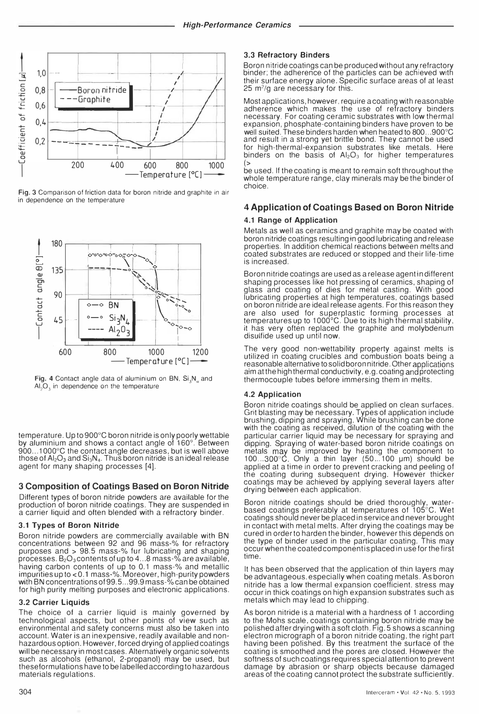

Fig. 3 Comparison of friction data for boron nitride and graphite in air in dependence on the temperature



Fig. 4 Contact angle data of aluminium on BN, Si<sub>s</sub>N, and  $AI<sub>2</sub>O<sub>3</sub>$  in dependence on the temperature

temperature. Up to 900°C boron nitride is only poorly wettable by aluminium and shows a contact angle of 160°. Between  $900...1000^{\circ}$ C the contact angle decreases, but is well above those of  $Al_2O_3$  and  $Si_3N_4$ . Thus boron nitride is an ideal release agent for many shaping processes [4].

## 3 Composition of Coatings Based on Boron Nitride

Different types of boron nitride powders are available for the production of boron nitride coatings. They are suspended in a carrier liquid and often blended with a refractory binder.

## 3.1 Types of Boron Nitride

Boron nitride powders are commercially available with BN concentrations between 92 and 96 mass-% for refractory purposes and > 98.5 mass-% fur lubricating and shaping processes.  $B_2O_3$  contents of up to 4...8 mass-% are available, having carbon contents of up to 0.1 mass-% and metallic impurities up to <0.1 mass-%. Moreover, high-purity powders with BN concentrations of 99.5...99.9 mass-% can be obtained for high purity melting purposes and electronic applications.

#### 3.2 Carrier Liquids

The choice of a carrier liquid is mainly governed by technological aspects, but other points of view such as environmental and safety concerns must also be taken into account. Water is an inexpensive, readily available and nonhazardous option. However, forced drying of applied coatings will be necessary in most cases. Alternatively organic solvents such as alcohols (ethanol, 2-propanol) may be used, but theseformulations have to be labelled according to hazardous materials regulations.

## 3.3 Refractory Binders

Boron nitride coatings can be produced without any refractory binder; the adherence of the particles can be achieved with their surface energy alone. Specific surface areas of at least 25  $m^2$ /g are necessary for this.

Most applications, however, require a coating with reasonable adherence which makes the use of refractory binders necessary. For coating ceramic substrates with low thermal expansion, phosphate-containing binders have proven to be well suited. These binders harden when heated to 800...900°C and result in a strong yet brittle bond. They cannot be used for high-thermal-expansion substrates like metals. Here binders on the basis of  $Al_2O_3$  for higher temperatures

be used. If the coating is meant to remain soft throughout the whole temperature range, clay minerals may be the binder of choice.

# 4 Application of Coatings Based on Boron Nitride

#### 4.1 Range of Application

Metals as well as ceramics and graphite may be coated with boron nitride coatings resulting in good lubricating and release properties. In addition chemical reactions between melts and coated substrates are reduced or stopped and their life-time is increased.

Boron nitride coatings are used as a release agent in different shaping processes like hot pressing of ceramics, shaping of glass and coating of dies for metal casting. With good lubricating properties at high temperatures, coatings based on boron nitride are ideal release agents. For this reason they are also used for superplastic forming processes at temperatures up to 1000°C. Due to its high thermal stability,<br>it has very often replaced the graphite and molybdenum disulfide used up until now.

The very good non-wettability property against melts is utilized in coating crucibles and combustion boats being a reasonable alternative to solid boron nitride. Other applications aim at the high thermal conductivity, e.g. coating and protecting thermocouple tubes before immersing them in melts.

#### **4.2 Application**

Boron nitride coatings should be applied on clean surfaces. Grit blasting may be necessary. Types of application include<br>brushing, dipping and spraying. While brushing can be done with the coating as received, dilution of the coating with the particular carrier liquid may be necessary for spraying and dipping. Spraying of water-based boron nitride coatings on metals may be improved by heating the component to  $100...300^{\circ}$ C. Only a thin layer (50...100 µm) should be applied at a time in order to prevent cracking and peeling of the coating during subsequent drying. However thicker coatings may be achieved by applying several layers after drying between each application.

Boron nitride coatings should be dried thoroughly, water-<br>based coatings preferably at temperatures of 105°C. Wet coatings should never be placed in service and never brought in contact with metal melts. After drying the coatings may be cured in order to harden the binder, however this depends on the type of binder used in the particular coating. This may occur when the coated component is placed in use for the first time.

It has been observed that the application of thin layers may be advantageous, especially when coating metals. As boron nitride has a low thermal expansion coefficient, stress may occur in thick coatings on high expansion substrates such as metals which may lead to chipping.

As boron nitride is a material with a hardness of 1 according to the Mohs scale, coatings containing boron nitride may be polished after drying with a soft cloth. Fig. 5 shows a scanning electron micrograph of a boron nitride coating, the right part having been polished. By this treatment the surface of the coating is smoothed and the pores are closed. However the softness of such coatings requires special attention to prevent damage by abrasion or sharp objects because damaged areas of the coating cannot protect the substrate sufficiently.